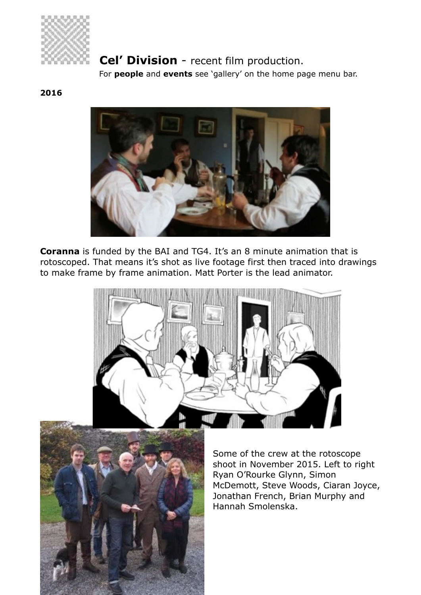

# **Cel' Division** - recent film production.

For **people** and **events** see 'gallery' on the home page menu bar.

#### **2016**



**Coranna** is funded by the BAI and TG4. It's an 8 minute animation that is rotoscoped. That means it's shot as live footage first then traced into drawings to make frame by frame animation. Matt Porter is the lead animator.





Some of the crew at the rotoscope shoot in November 2015. Left to right Ryan O'Rourke Glynn, Simon McDemott, Steve Woods, Ciaran Joyce, Jonathan French, Brian Murphy and Hannah Smolenska.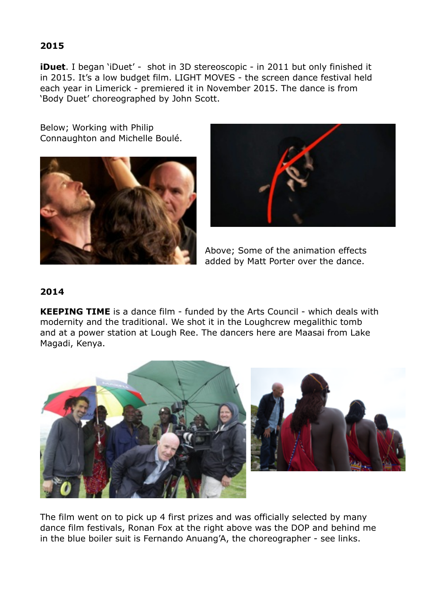### **2015**

**iDuet**. I began 'iDuet' - shot in 3D stereoscopic - in 2011 but only finished it in 2015. It's a low budget film. LIGHT MOVES - the screen dance festival held each year in Limerick - premiered it in November 2015. The dance is from 'Body Duet' choreographed by John Scott.

Below; Working with Philip Connaughton and Michelle Boulé.





Above; Some of the animation effects added by Matt Porter over the dance.

## **2014**

**KEEPING TIME** is a dance film - funded by the Arts Council - which deals with modernity and the traditional. We shot it in the Loughcrew megalithic tomb and at a power station at Lough Ree. The dancers here are Maasai from Lake Magadi, Kenya.





The film went on to pick up 4 first prizes and was officially selected by many dance film festivals, Ronan Fox at the right above was the DOP and behind me in the blue boiler suit is Fernando Anuang'A, the choreographer - see links.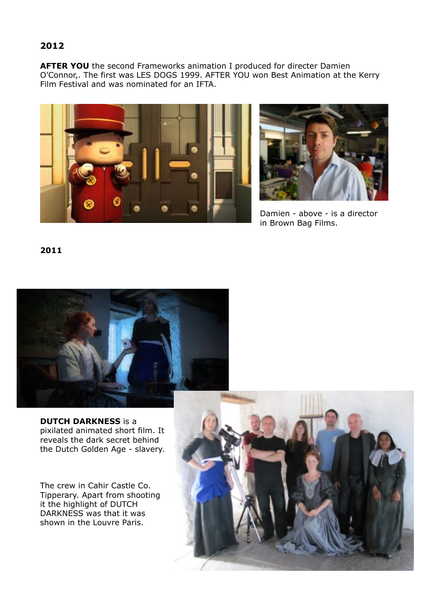## **2012**

**AFTER YOU** the second Frameworks animation I produced for directer Damien O'Connor,. The first was LES DOGS 1999. AFTER YOU won Best Animation at the Kerry Film Festival and was nominated for an IFTA.





Damien - above - is a director in Brown Bag Films.

**2011** 



**DUTCH DARKNESS** is a pixilated animated short film. It reveals the dark secret behind the Dutch Golden Age - slavery.

The crew in Cahir Castle Co. Tipperary. Apart from shooting it the highlight of DUTCH DARKNESS was that it was shown in the Louvre Paris.

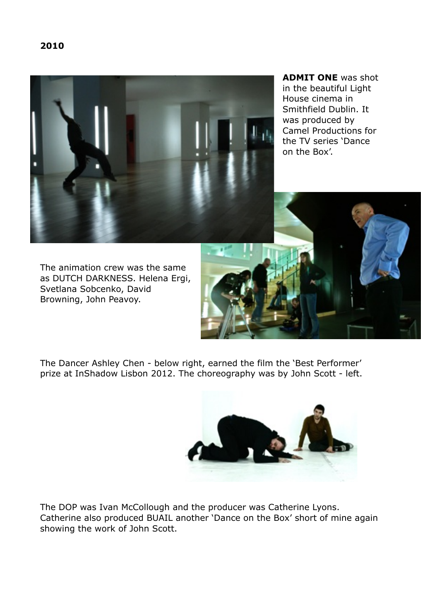

**ADMIT ONE** was shot in the beautiful Light House cinema in Smithfield Dublin. It was produced by Camel Productions for the TV series 'Dance on the Box'.

The animation crew was the same as DUTCH DARKNESS. Helena Ergi, Svetlana Sobcenko, David Browning, John Peavoy.

The Dancer Ashley Chen - below right, earned the film the 'Best Performer' prize at InShadow Lisbon 2012. The choreography was by John Scott - left.



The DOP was Ivan McCollough and the producer was Catherine Lyons. Catherine also produced BUAIL another 'Dance on the Box' short of mine again showing the work of John Scott.